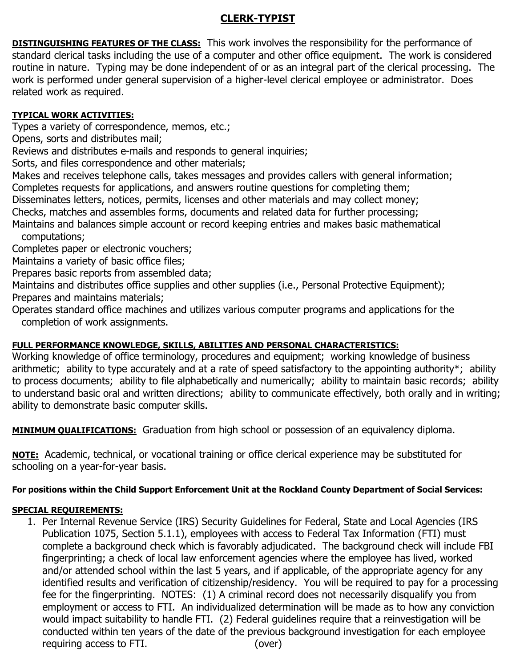## **CLERK-TYPIST**

**DISTINGUISHING FEATURES OF THE CLASS:** This work involves the responsibility for the performance of standard clerical tasks including the use of a computer and other office equipment. The work is considered routine in nature. Typing may be done independent of or as an integral part of the clerical processing. The work is performed under general supervision of a higher-level clerical employee or administrator. Does related work as required.

## **TYPICAL WORK ACTIVITIES:**

Types a variety of correspondence, memos, etc.;

Opens, sorts and distributes mail;

Reviews and distributes e-mails and responds to general inquiries;

Sorts, and files correspondence and other materials;

Makes and receives telephone calls, takes messages and provides callers with general information; Completes requests for applications, and answers routine questions for completing them;

Disseminates letters, notices, permits, licenses and other materials and may collect money;

Checks, matches and assembles forms, documents and related data for further processing;

Maintains and balances simple account or record keeping entries and makes basic mathematical computations;

Completes paper or electronic vouchers;

Maintains a variety of basic office files;

Prepares basic reports from assembled data;

Maintains and distributes office supplies and other supplies (i.e., Personal Protective Equipment); Prepares and maintains materials;

Operates standard office machines and utilizes various computer programs and applications for the completion of work assignments.

## **FULL PERFORMANCE KNOWLEDGE, SKILLS, ABILITIES AND PERSONAL CHARACTERISTICS:**

Working knowledge of office terminology, procedures and equipment; working knowledge of business arithmetic; ability to type accurately and at a rate of speed satisfactory to the appointing authority\*; ability to process documents; ability to file alphabetically and numerically; ability to maintain basic records; ability to understand basic oral and written directions; ability to communicate effectively, both orally and in writing; ability to demonstrate basic computer skills.

**MINIMUM QUALIFICATIONS:** Graduation from high school or possession of an equivalency diploma.

**NOTE:** Academic, technical, or vocational training or office clerical experience may be substituted for schooling on a year-for-year basis.

# **For positions within the Child Support Enforcement Unit at the Rockland County Department of Social Services:**

## **SPECIAL REQUIREMENTS:**

1. Per Internal Revenue Service (IRS) Security Guidelines for Federal, State and Local Agencies (IRS Publication 1075, Section 5.1.1), employees with access to Federal Tax Information (FTI) must complete a background check which is favorably adjudicated. The background check will include FBI fingerprinting; a check of local law enforcement agencies where the employee has lived, worked and/or attended school within the last 5 years, and if applicable, of the appropriate agency for any identified results and verification of citizenship/residency. You will be required to pay for a processing fee for the fingerprinting. NOTES: (1) A criminal record does not necessarily disqualify you from employment or access to FTI. An individualized determination will be made as to how any conviction would impact suitability to handle FTI. (2) Federal guidelines require that a reinvestigation will be conducted within ten years of the date of the previous background investigation for each employee requiring access to FTI. (over)